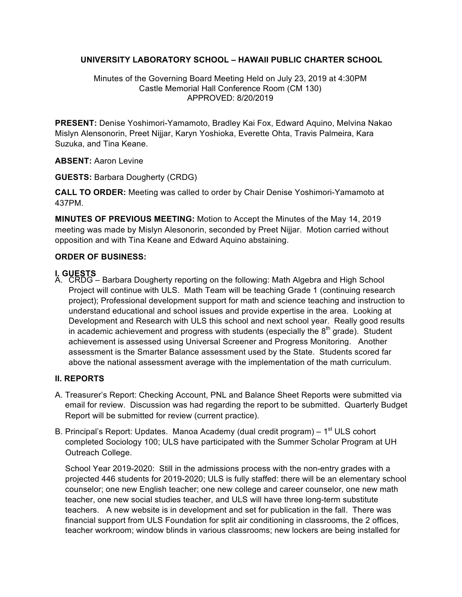## **UNIVERSITY LABORATORY SCHOOL – HAWAII PUBLIC CHARTER SCHOOL**

Minutes of the Governing Board Meeting Held on July 23, 2019 at 4:30PM Castle Memorial Hall Conference Room (CM 130) APPROVED: 8/20/2019

**PRESENT:** Denise Yoshimori-Yamamoto, Bradley Kai Fox, Edward Aquino, Melvina Nakao Mislyn Alensonorin, Preet Nijjar, Karyn Yoshioka, Everette Ohta, Travis Palmeira, Kara Suzuka, and Tina Keane.

## **ABSENT:** Aaron Levine

**GUESTS:** Barbara Dougherty (CRDG)

**CALL TO ORDER:** Meeting was called to order by Chair Denise Yoshimori-Yamamoto at 437PM.

**MINUTES OF PREVIOUS MEETING:** Motion to Accept the Minutes of the May 14, 2019 meeting was made by Mislyn Alesonorin, seconded by Preet Nijjar. Motion carried without opposition and with Tina Keane and Edward Aquino abstaining.

## **ORDER OF BUSINESS:**

# **I. GUESTS**

A. CRDG – Barbara Dougherty reporting on the following: Math Algebra and High School Project will continue with ULS. Math Team will be teaching Grade 1 (continuing research project); Professional development support for math and science teaching and instruction to understand educational and school issues and provide expertise in the area. Looking at Development and Research with ULS this school and next school year. Really good results in academic achievement and progress with students (especially the  $8<sup>th</sup>$  grade). Student achievement is assessed using Universal Screener and Progress Monitoring. Another assessment is the Smarter Balance assessment used by the State. Students scored far above the national assessment average with the implementation of the math curriculum.

## **II. REPORTS**

- A. Treasurer's Report: Checking Account, PNL and Balance Sheet Reports were submitted via email for review. Discussion was had regarding the report to be submitted. Quarterly Budget Report will be submitted for review (current practice).
- B. Principal's Report: Updates. Manoa Academy (dual credit program) 1<sup>st</sup> ULS cohort completed Sociology 100; ULS have participated with the Summer Scholar Program at UH Outreach College.

School Year 2019-2020: Still in the admissions process with the non-entry grades with a projected 446 students for 2019-2020; ULS is fully staffed: there will be an elementary school counselor; one new English teacher; one new college and career counselor, one new math teacher, one new social studies teacher, and ULS will have three long-term substitute teachers. A new website is in development and set for publication in the fall. There was financial support from ULS Foundation for split air conditioning in classrooms, the 2 offices, teacher workroom; window blinds in various classrooms; new lockers are being installed for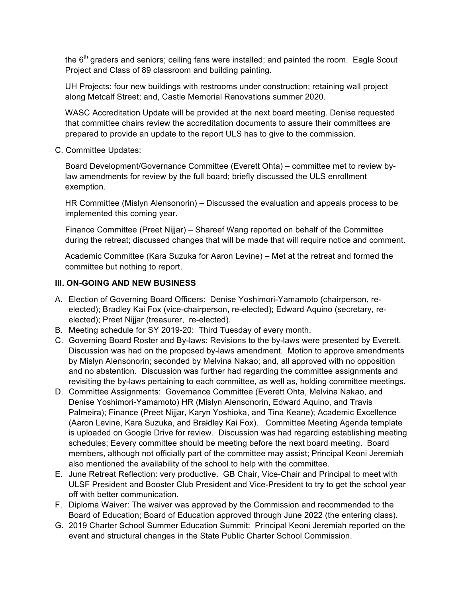the  $6<sup>th</sup>$  graders and seniors; ceiling fans were installed; and painted the room. Eagle Scout Project and Class of 89 classroom and building painting.

UH Projects: four new buildings with restrooms under construction; retaining wall project along Metcalf Street; and, Castle Memorial Renovations summer 2020.

WASC Accreditation Update will be provided at the next board meeting. Denise requested that committee chairs review the accreditation documents to assure their committees are prepared to provide an update to the report ULS has to give to the commission.

C. Committee Updates:

Board Development/Governance Committee (Everett Ohta) – committee met to review bylaw amendments for review by the full board; briefly discussed the ULS enrollment exemption.

HR Committee (Mislyn Alensonorin) – Discussed the evaluation and appeals process to be implemented this coming year.

Finance Committee (Preet Nijjar) – Shareef Wang reported on behalf of the Committee during the retreat; discussed changes that will be made that will require notice and comment.

Academic Committee (Kara Suzuka for Aaron Levine) – Met at the retreat and formed the committee but nothing to report.

## **III. ON-GOING AND NEW BUSINESS**

- A. Election of Governing Board Officers: Denise Yoshimori-Yamamoto (chairperson, reelected); Bradley Kai Fox (vice-chairperson, re-elected); Edward Aquino (secretary, reelected); Preet Nijjar (treasurer, re-elected).
- B. Meeting schedule for SY 2019-20: Third Tuesday of every month.
- C. Governing Board Roster and By-laws: Revisions to the by-laws were presented by Everett. Discussion was had on the proposed by-laws amendment. Motion to approve amendments by Mislyn Alensonorin; seconded by Melvina Nakao; and, all approved with no opposition and no abstention. Discussion was further had regarding the committee assignments and revisiting the by-laws pertaining to each committee, as well as, holding committee meetings.
- D. Committee Assignments: Governance Committee (Everett Ohta, Melvina Nakao, and Denise Yoshimori-Yamamoto) HR (Mislyn Alensonorin, Edward Aquino, and Travis Palmeira); Finance (Preet Nijjar, Karyn Yoshioka, and Tina Keane); Academic Excellence (Aaron Levine, Kara Suzuka, and Braldley Kai Fox). Committee Meeting Agenda template is uploaded on Google Drive for review. Discussion was had regarding establishing meeting schedules; Eevery committee should be meeting before the next board meeting. Board members, although not officially part of the committee may assist; Principal Keoni Jeremiah also mentioned the availability of the school to help with the committee.
- E. June Retreat Reflection: very productive. GB Chair, Vice-Chair and Principal to meet with ULSF President and Booster Club President and Vice-President to try to get the school year off with better communication.
- F. Diploma Waiver: The waiver was approved by the Commission and recommended to the Board of Education; Board of Education approved through June 2022 (the entering class).
- G. 2019 Charter School Summer Education Summit: Principal Keoni Jeremiah reported on the event and structural changes in the State Public Charter School Commission.